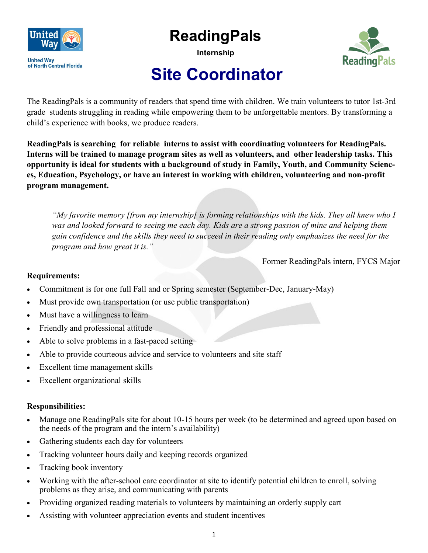

## **ReadingPals**

**Internship**



## **Site Coordinator**

The ReadingPals is a community of readers that spend time with children. We train volunteers to tutor 1st-3rd grade students struggling in reading while empowering them to be unforgettable mentors. By transforming a child's experience with books, we produce readers.

**ReadingPals is searching for reliable interns to assist with coordinating volunteers for ReadingPals. Interns will be trained to manage program sites as well as volunteers, and other leadership tasks. This opportunity is ideal for students with a background of study in Family, Youth, and Community Sciences, Education, Psychology, or have an interest in working with children, volunteering and non-profit program management.** 

*"My favorite memory [from my internship] is forming relationships with the kids. They all knew who I was and looked forward to seeing me each day. Kids are a strong passion of mine and helping them gain confidence and the skills they need to succeed in their reading only emphasizes the need for the program and how great it is."* 

– Former ReadingPals intern, FYCS Major

## **Requirements:**

- Commitment is for one full Fall and or Spring semester (September-Dec, January-May)
- Must provide own transportation (or use public transportation)
- Must have a willingness to learn
- Friendly and professional attitude
- Able to solve problems in a fast-paced setting
- Able to provide courteous advice and service to volunteers and site staff
- Excellent time management skills
- Excellent organizational skills

## **Responsibilities:**

- Manage one ReadingPals site for about 10-15 hours per week (to be determined and agreed upon based on the needs of the program and the intern's availability)
- Gathering students each day for volunteers
- Tracking volunteer hours daily and keeping records organized
- Tracking book inventory
- Working with the after-school care coordinator at site to identify potential children to enroll, solving problems as they arise, and communicating with parents
- Providing organized reading materials to volunteers by maintaining an orderly supply cart
- Assisting with volunteer appreciation events and student incentives